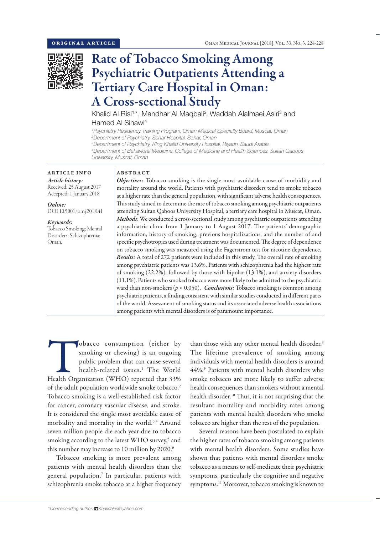

# Rate of Tobacco Smoking Among Psychiatric Outpatients Attending a Tertiary Care Hospital in Oman: A Cross-sectional Study

Khalid Al Risi<sup>1\*</sup>, Mandhar Al Maqbali<sup>2</sup>, Waddah Alalmaei Asiri<sup>3</sup> and Hamed Al Sinawi4

*1 Psychiatry Residency Training Program, Oman Medical Specialty Board, Muscat, Oman 2 Department of Psychiatry, Sohar Hospital, Sohar, Oman 3 Department of Psychiatry, King Khalid University Hospital, Riyadh, Saudi Arabia*

*4 Department of Behavioral Medicine, College of Medicine and Health Sciences, Sultan Qaboos University, Muscat, Oman*

## ARTICLE INFO *Article history:*

Received: 25 August 2017 Accepted: 1 January 2018

*Online:* DOI 10.5001/omj.2018.41

#### *Keywords:*

Tobacco Smoking; Mental Disorders; Schizophrenia; Oman.

### ABSTRACT

*Objectives:* Tobacco smoking is the single most avoidable cause of morbidity and mortality around the world. Patients with psychiatric disorders tend to smoke tobacco at a higher rate than the general population, with significant adverse health consequences. This study aimed to determine the rate of tobacco smoking among psychiatric outpatients attending Sultan Qaboos University Hospital, a tertiary care hospital in Muscat, Oman. *Methods*: We conducted a cross-sectional study among psychiatric outpatients attending a psychiatric clinic from 1 January to 1 August 2017. The patients' demographic information, history of smoking, previous hospitalizations, and the number of and specific psychotropics used during treatment was documented. The degree of dependence on tobacco smoking was measured using the Fagerstrom test for nicotine dependence. *Results:* A total of 272 patients were included in this study. The overall rate of smoking among psychiatric patients was 13.6%. Patients with schizophrenia had the highest rate of smoking (22.2%), followed by those with bipolar (13.1%), and anxiety disorders (11.1%). Patients who smoked tobacco were more likely to be admitted to the psychiatric ward than non-smokers (*p* < 0.050). *Conclusions:* Tobacco smoking is common among psychiatric patients, a finding consistent with similar studies conducted in different parts of the world. Assessment of smoking status and its associated adverse health associations among patients with mental disorders is of paramount importance.

Tobacco consumption (either by smoking or chewing) is an ongoing public problem that can cause several health-related issues.<sup>1</sup> The World Health Organization (WHO) reported that 33% smoking or chewing) is an ongoing public problem that can cause several health-related issues.1 The World of the adult population worldwide smoke tobacco.2 Tobacco smoking is a well-established risk factor for cancer, coronary vascular disease, and stroke. It is considered the single most avoidable cause of morbidity and mortality in the world.3,4 Around seven million people die each year due to tobacco smoking according to the latest WHO survey,<sup>5</sup> and this number may increase to 10 million by 2020.<sup>6</sup>

Tobacco smoking is more prevalent among patients with mental health disorders than the general population.7 In particular, patients with schizophrenia smoke tobacco at a higher frequency

than those with any other mental health disorder.<sup>8</sup> The lifetime prevalence of smoking among individuals with mental health disorders is around 44%.9 Patients with mental health disorders who smoke tobacco are more likely to suffer adverse health consequences than smokers without a mental health disorder.<sup>10</sup> Thus, it is not surprising that the resultant mortality and morbidity rates among patients with mental health disorders who smoke tobacco are higher than the rest of the population.

Several reasons have been postulated to explain the higher rates of tobacco smoking among patients with mental health disorders. Some studies have shown that patients with mental disorders smoke tobacco as a means to self-medicate their psychiatric symptoms, particularly the cognitive and negative symptoms.<sup>11</sup> Moreover, tobacco smoking is known to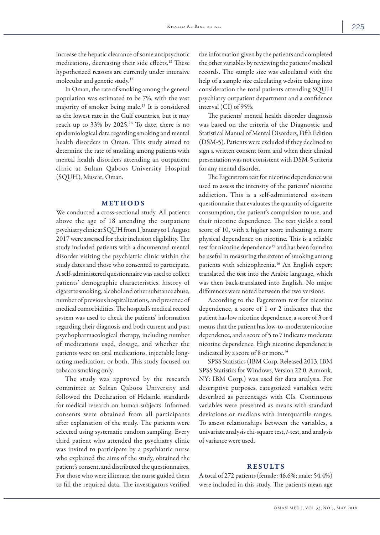increase the hepatic clearance of some antipsychotic medications, decreasing their side effects.12 These hypothesized reasons are currently under intensive molecular and genetic study.12

In Oman, the rate of smoking among the general population was estimated to be 7%, with the vast majority of smoker being male.13 It is considered as the lowest rate in the Gulf countries, but it may reach up to 33% by 2025.<sup>14</sup> To date, there is no epidemiological data regarding smoking and mental health disorders in Oman. This study aimed to determine the rate of smoking among patients with mental health disorders attending an outpatient clinic at Sultan Qaboos University Hospital (SQUH), Muscat, Oman.

#### METHODS

We conducted a cross-sectional study. All patients above the age of 18 attending the outpatient psychiatry clinic at SQUH from 1 January to 1 August 2017 were assessed for their inclusion eligibility. The study included patients with a documented mental disorder visiting the psychiatric clinic within the study dates and those who consented to participate. A self-administered questionnaire was used to collect patients' demographic characteristics, history of cigarette smoking, alcohol and other substance abuse, number of previous hospitalizations, and presence of medical comorbidities. The hospital's medical record system was used to check the patients' information regarding their diagnosis and both current and past psychopharmacological therapy, including number of medications used, dosage, and whether the patients were on oral medications, injectable longacting medication, or both. This study focused on tobacco smoking only.

The study was approved by the research committee at Sultan Qaboos University and followed the Declaration of Helsinki standards for medical research on human subjects. Informed consents were obtained from all participants after explanation of the study. The patients were selected using systematic random sampling. Every third patient who attended the psychiatry clinic was invited to participate by a psychiatric nurse who explained the aims of the study, obtained the patient's consent, and distributed the questionnaires. For those who were illiterate, the nurse guided them to fill the required data. The investigators verified the information given by the patients and completed the other variables by reviewing the patients' medical records. The sample size was calculated with the help of a sample size calculating website taking into consideration the total patients attending SQUH psychiatry outpatient department and a confidence interval (CI) of 95%.

The patients' mental health disorder diagnosis was based on the criteria of the Diagnostic and Statistical Manual of Mental Disorders, Fifth Edition (DSM-5). Patients were excluded if they declined to sign a written consent form and when their clinical presentation was not consistent with DSM-5 criteria for any mental disorder.

The Fagerstrom test for nicotine dependence was used to assess the intensity of the patients' nicotine addiction. This is a self-administered six-item questionnaire that evaluates the quantity of cigarette consumption, the patient's compulsion to use, and their nicotine dependence. The test yields a total score of 10, with a higher score indicating a more physical dependence on nicotine. This is a reliable test for nicotine dependence<sup>15</sup> and has been found to be useful in measuring the extent of smoking among patients with schizophrenia.16 An English expert translated the test into the Arabic language, which was then back-translated into English. No major differences were noted between the two versions.

According to the Fagerstrom test for nicotine dependence, a score of 1 or 2 indicates that the patient has low nicotine dependence, a score of 3 or 4 means that the patient has low-to-moderate nicotine dependence, and a score of 5 to 7 indicates moderate nicotine dependence. High nicotine dependence is indicated by a score of 8 or more.<sup>14</sup>

SPSS Statistics (IBM Corp. Released 2013. IBM SPSS Statistics for Windows, Version 22.0. Armonk, NY: IBM Corp.) was used for data analysis. For descriptive purposes, categorized variables were described as percentages with CIs. Continuous variables were presented as means with standard deviations or medians with interquartile ranges. To assess relationships between the variables, a univariate analysis chi-square test, *t*-test, and analysis of variance were used.

#### RESULTS

A total of 272 patients (female: 46.6%; male: 54.4%) were included in this study. The patients mean age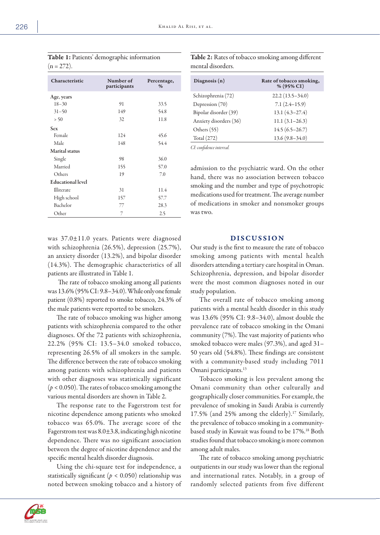| Characteristic           | Number of<br>participants | Percentage,<br>$\%$ |
|--------------------------|---------------------------|---------------------|
| Age, years               |                           |                     |
| $18 - 30$                | 91                        | 33.5                |
| $31 - 50$                | 149                       | 54.8                |
| > 50                     | 32                        | 11.8                |
| <b>Sex</b>               |                           |                     |
| Female                   | 124                       | 45.6                |
| Male                     | 148                       | 54.4                |
| <b>Marital</b> status    |                           |                     |
| Single                   | 98                        | 36.0                |
| Married                  | 155                       | 57.0                |
| Others                   | 19                        | 7.0                 |
| <b>Educational level</b> |                           |                     |
| Illiterate               | 31                        | 11.4                |
| High school              | 157                       | 57.7                |
| Bachelor                 | 77                        | 28.3                |
| Other                    | 7                         | 2.5                 |

Table 1: Patients' demographic information  $(n = 272)$ .

was 37.0±11.0 years. Patients were diagnosed with schizophrenia (26.5%), depression (25.7%), an anxiety disorder (13.2%), and bipolar disorder (14.3%). The demographic characteristics of all patients are illustrated in Table 1.

 The rate of tobacco smoking among all patients was 13.6% (95% CI: 9.8–34.0). While only one female patient (0.8%) reported to smoke tobacco, 24.3% of the male patients were reported to be smokers.

The rate of tobacco smoking was higher among patients with schizophrenia compared to the other diagnoses. Of the 72 patients with schizophrenia, 22.2% (95% CI: 13.5–34.0 smoked tobacco, representing 26.5% of all smokers in the sample. The difference between the rate of tobacco smoking among patients with schizophrenia and patients with other diagnoses was statistically significant  $(p < 0.050)$ . The rates of tobacco smoking among the various mental disorders are shown in Table 2.

The response rate to the Fagerstrom test for nicotine dependence among patients who smoked tobacco was 65.0%. The average score of the Fagerstrom test was  $8.0 \pm 3.8$ , indicating high nicotine dependence. There was no significant association between the degree of nicotine dependence and the specific mental health disorder diagnosis.

Using the chi-square test for independence, a statistically significant ( $p < 0.050$ ) relationship was noted between smoking tobacco and a history of Table 2: Rates of tobacco smoking among different mental disorders.

| Diagnosis $(n)$        | Rate of tobacco smoking,<br>$% (95\% CI)$ |
|------------------------|-------------------------------------------|
| Schizophrenia (72)     | $22.2(13.5-34.0)$                         |
| Depression (70)        | $7.1(2.4-15.9)$                           |
| Bipolar disorder (39)  | $13.1(4.3-27.4)$                          |
| Anxiety disorders (36) | $11.1(3.1 - 26.3)$                        |
| Others (55)            | $14.5(6.5-26.7)$                          |
| Total (272)            | $13.6(9.8 - 34.0)$                        |

*CI: confidence interval.*

admission to the psychiatric ward. On the other hand, there was no association between tobacco smoking and the number and type of psychotropic medications used for treatment. The average number of medications in smoker and nonsmoker groups was two.

#### DISCUSSION

Our study is the first to measure the rate of tobacco smoking among patients with mental health disorders attending a tertiary care hospital in Oman. Schizophrenia, depression, and bipolar disorder were the most common diagnoses noted in our study population.

The overall rate of tobacco smoking among patients with a mental health disorder in this study was 13.6% (95% CI: 9.8–34.0), almost double the prevalence rate of tobacco smoking in the Omani community (7%). The vast majority of patients who smoked tobacco were males (97.3%), and aged 31– 50 years old (54.8%). These findings are consistent with a community-based study including 7011 Omani participants.<sup>13</sup>

Tobacco smoking is less prevalent among the Omani community than other culturally and geographically closer communities. For example, the prevalence of smoking in Saudi Arabia is currently 17.5% (and 25% among the elderly).17 Similarly, the prevalence of tobacco smoking in a communitybased study in Kuwait was found to be 17%.18 Both studies found that tobacco smoking is more common among adult males.

The rate of tobacco smoking among psychiatric outpatients in our study was lower than the regional and international rates. Notably, in a group of randomly selected patients from five different

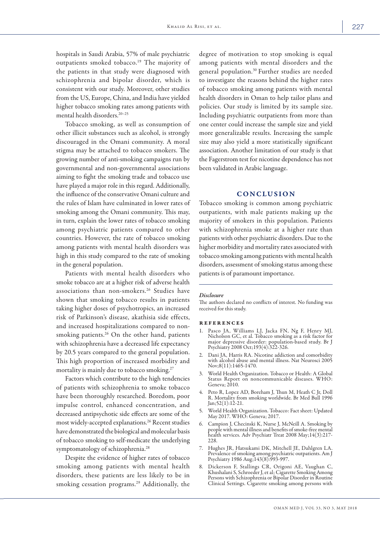hospitals in Saudi Arabia, 57% of male psychiatric outpatients smoked tobacco.<sup>19</sup> The majority of the patients in that study were diagnosed with schizophrenia and bipolar disorder, which is consistent with our study. Moreover, other studies from the US, Europe, China, and India have yielded higher tobacco smoking rates among patients with mental health disorders.<sup>20-25</sup>

Tobacco smoking, as well as consumption of other illicit substances such as alcohol, is strongly discouraged in the Omani community. A moral stigma may be attached to tobacco smokers. The growing number of anti-smoking campaigns run by governmental and non-governmental associations aiming to fight the smoking trade and tobacco use have played a major role in this regard. Additionally, the influence of the conservative Omani culture and the rules of Islam have culminated in lower rates of smoking among the Omani community. This may, in turn, explain the lower rates of tobacco smoking among psychiatric patients compared to other countries. However, the rate of tobacco smoking among patients with mental health disorders was high in this study compared to the rate of smoking in the general population.

Patients with mental health disorders who smoke tobacco are at a higher risk of adverse health associations than non-smokers.<sup>26</sup> Studies have shown that smoking tobacco results in patients taking higher doses of psychotropics, an increased risk of Parkinson's disease, akathisia side effects, and increased hospitalizations compared to nonsmoking patients.<sup>26</sup> On the other hand, patients with schizophrenia have a decreased life expectancy by 20.5 years compared to the general population. This high proportion of increased morbidity and mortality is mainly due to tobacco smoking.<sup>27</sup>

Factors which contribute to the high tendencies of patients with schizophrenia to smoke tobacco have been thoroughly researched. Boredom, poor impulse control, enhanced concentration, and decreased antipsychotic side effects are some of the most widely-accepted explanations.<sup>26</sup> Recent studies have demonstrated the biological and molecular basis of tobacco smoking to self-medicate the underlying symptomatology of schizophrenia.<sup>28</sup>

Despite the evidence of higher rates of tobacco smoking among patients with mental health disorders, these patients are less likely to be in smoking cessation programs.29 Additionally, the degree of motivation to stop smoking is equal among patients with mental disorders and the general population.30 Further studies are needed to investigate the reasons behind the higher rates of tobacco smoking among patients with mental health disorders in Oman to help tailor plans and policies. Our study is limited by its sample size. Including psychiatric outpatients from more than one center could increase the sample size and yield more generalizable results. Increasing the sample size may also yield a more statistically significant association. Another limitation of our study is that the Fagerstrom test for nicotine dependence has not been validated in Arabic language.

#### CONCLUSION

Tobacco smoking is common among psychiatric outpatients, with male patients making up the majority of smokers in this population. Patients with schizophrenia smoke at a higher rate than patients with other psychiatric disorders. Due to the higher morbidity and mortality rates associated with tobacco smoking among patients with mental health disorders, assessment of smoking status among these patients is of paramount importance.

#### *Disclosure*

The authors declared no conflicts of interest. No funding was received for this study.

#### references

- 1. Pasco JA, Williams LJ, Jacka FN, Ng F, Henry MJ, Nicholson GC, et al. Tobacco smoking as a risk factor for major depressive disorder: population-based study. Br J Psychiatry 2008 Oct;193(4):322-326.
- 2. Dani JA, Harris RA. Nicotine addiction and comorbidity with alcohol abuse and mental illness. Nat Neurosci 2005 Nov;8(11):1465-1470.
- 3. World Health Organization. Tobacco or Health: A Global Status Report on noncommunicable diseases. WHO: Geneva; 2010.
- 4. Peto R, Lopez AD, Boreham J, Thun M, Heath C Jr, Doll R. Mortality from smoking worldwide. Br Med Bull 1996 Jan;  $52(1):12-21$ .
- 5. World Health Organization. Tobacco: Fact sheet: Updated May 2017. WHO: Geneva; 2017.
- 6. Campion J, Checinski K, Nurse J, McNeill A. Smoking by people with mental illness and benefits of smoke-free mental health services. Adv Psychiatr Treat 2008 May;14(3):217- 228.
- 7. Hughes JR, Hatsukami DK, Mitchell JE, Dahlgren LA. Prevalence of smoking among psychiatric outpatients. Am J Psychiatry 1986 Aug;143(8):993-997.
- 8. Dickerson F, Stallings CR, Origoni AE, Vaughan C, Khushalani S, Schroeder J, et al; Cigarette Smoking Among Persons with Schizophrenia or Bipolar Disorder in Routine Clinical Settings. Cigarette smoking among persons with